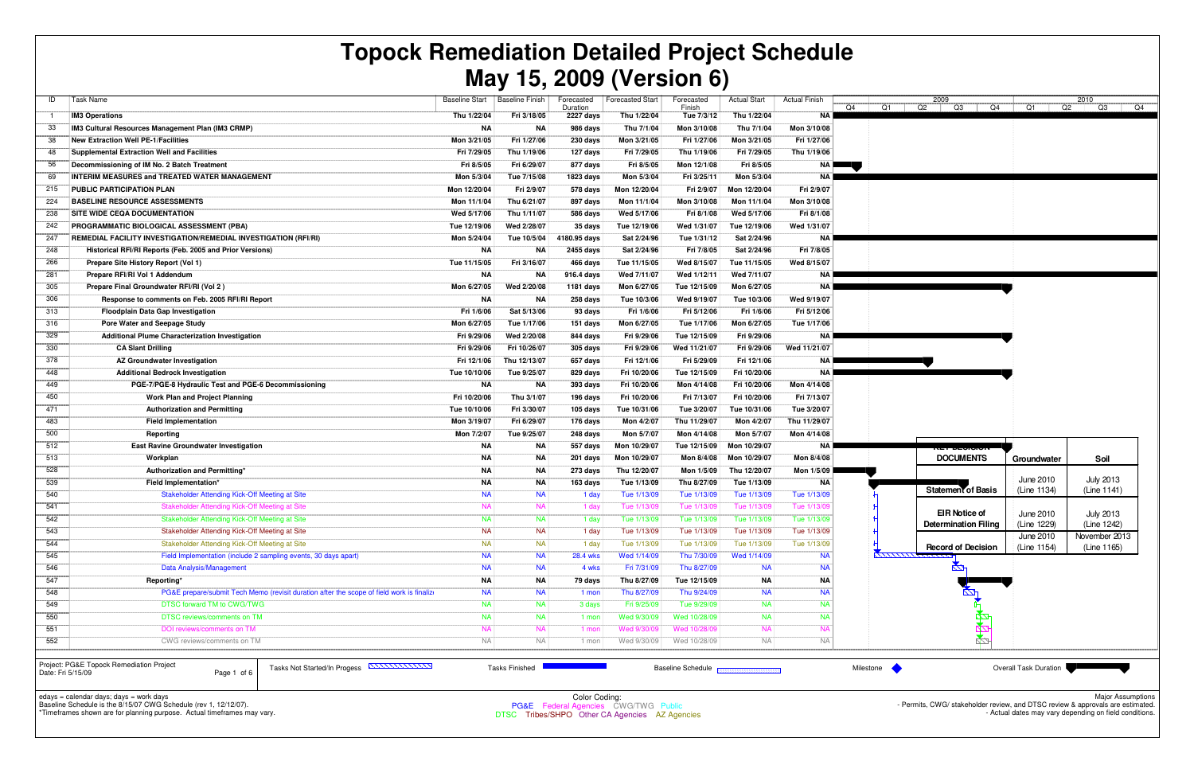| ID           | Task Name                                                                                  | <b>Baseline Start</b> | <b>Baseline Finish</b> | Forecasted<br>Duration | <b>Forecasted Start</b> | Forecasted<br>Finish | <b>Actual Start</b> | <b>Actual Finish</b> | Q4 |
|--------------|--------------------------------------------------------------------------------------------|-----------------------|------------------------|------------------------|-------------------------|----------------------|---------------------|----------------------|----|
| $\mathbf{1}$ | <b>IM3 Operations</b>                                                                      | Thu 1/22/04           | Fri 3/18/05            | 2227 days              | Thu 1/22/04             | Tue 7/3/12           | Thu 1/22/04         | <b>NA</b>            |    |
| 33           | IM3 Cultural Resources Management Plan (IM3 CRMP)                                          | NA                    | ΝA                     | 986 days               | Thu 7/1/04              | Mon 3/10/08          | Thu 7/1/04          | Mon 3/10/08          |    |
| 38           | <b>New Extraction Well PE-1/Facilities</b>                                                 | Mon 3/21/05           | Fri 1/27/06            | 230 days               | Mon 3/21/05             | Fri 1/27/06          | Mon 3/21/05         | Fri 1/27/06          |    |
| 48           | <b>Supplemental Extraction Well and Facilities</b>                                         | Fri 7/29/05           | Thu 1/19/06            | 127 days               | Fri 7/29/05             | Thu 1/19/06          | Fri 7/29/05         | Thu 1/19/06          |    |
| 56           | Decommissioning of IM No. 2 Batch Treatment                                                | Fri 8/5/05            | Fri 6/29/07            | 877 days               | Fri 8/5/05              | Mon 12/1/08          | Fri 8/5/05          | ΝA                   |    |
| 69           | <b>INTERIM MEASURES and TREATED WATER MANAGEMENT</b>                                       | Mon 5/3/04            | Tue 7/15/08            | 1823 days              | Mon 5/3/04              | Fri 3/25/11          | Mon 5/3/04          | ΝA                   |    |
| 215          | PUBLIC PARTICIPATION PLAN                                                                  | Mon 12/20/04          | Fri 2/9/07             | 578 days               | Mon 12/20/04            | Fri 2/9/07           | Mon 12/20/04        | Fri 2/9/07           |    |
| 224          | <b>BASELINE RESOURCE ASSESSMENTS</b>                                                       | Mon 11/1/04           | Thu 6/21/07            | 897 days               | Mon 11/1/04             | Mon 3/10/08          | Mon 11/1/04         | Mon 3/10/08          |    |
| 238          | SITE WIDE CEQA DOCUMENTATION                                                               | Wed 5/17/06           | Thu 1/11/07            | 586 days               | Wed 5/17/06             | Fri 8/1/08           | Wed 5/17/06         | Fri 8/1/08           |    |
| 242          | <b>PROGRAMMATIC BIOLOGICAL ASSESSMENT (PBA)</b>                                            | Tue 12/19/06          | Wed 2/28/07            | 35 days                | Tue 12/19/06            | Wed 1/31/07          | Tue 12/19/06        | Wed 1/31/07          |    |
| 247          | <b>REMEDIAL FACILITY INVESTIGATION/REMEDIAL INVESTIGATION (RFI/RI)</b>                     | Mon 5/24/04           | Tue 10/5/04            | 4180.95 days           | Sat 2/24/96             | Tue 1/31/12          | Sat 2/24/96         | ΝA                   |    |
| 248          | Historical RFI/RI Reports (Feb. 2005 and Prior Versions)                                   | <b>NA</b>             | ΝA                     | 2455 days              | Sat 2/24/96             | Fri 7/8/05           | Sat 2/24/96         | Fri 7/8/05           |    |
| 266          | Prepare Site History Report (Vol 1)                                                        | Tue 11/15/05          | Fri 3/16/07            | 466 days               | Tue 11/15/05            | Wed 8/15/07          | Tue 11/15/05        | Wed 8/15/07          |    |
| 281          | Prepare RFI/RI Vol 1 Addendum                                                              | NA                    | ΝA                     | 916.4 days             | Wed 7/11/07             | Wed 1/12/11          | Wed 7/11/07         | ΝA                   |    |
| 305          | Prepare Final Groundwater RFI/RI (Vol 2)                                                   | Mon 6/27/05           | Wed 2/20/08            | 1181 days              | Mon 6/27/05             | Tue 12/15/09         | Mon 6/27/05         | <b>NA</b>            |    |
| 306          | Response to comments on Feb. 2005 RFI/RI Report                                            | <b>NA</b>             | NA                     | 258 days               | Tue 10/3/06             | Wed 9/19/07          | Tue 10/3/06         | Wed 9/19/07          |    |
| 313          | <b>Floodplain Data Gap Investigation</b>                                                   | Fri 1/6/06            | Sat 5/13/06            | 93 days                | Fri 1/6/06              | Fri 5/12/06          | Fri 1/6/06          | Fri 5/12/06          |    |
| 316          | Pore Water and Seepage Study                                                               | Mon 6/27/05           | Tue 1/17/06            | 151 days               | Mon 6/27/05             | Tue 1/17/06          | Mon 6/27/05         | Tue 1/17/06          |    |
| 329          | Additional Plume Characterization Investigation                                            | Fri 9/29/06           | Wed 2/20/08            | 844 days               | Fri 9/29/06             | Tue 12/15/09         | Fri 9/29/06         | ΝA                   |    |
| 330          | <b>CA Slant Drilling</b>                                                                   | Fri 9/29/06           | Fri 10/26/07           | 305 days               | Fri 9/29/06             | Wed 11/21/07         | Fri 9/29/06         | Wed 11/21/07         |    |
| 378          | AZ Groundwater Investigation                                                               | Fri 12/1/06           | Thu 12/13/07           | 657 days               | Fri 12/1/06             | Fri 5/29/09          | Fri 12/1/06         | ΝA                   |    |
| 448          | <b>Additional Bedrock Investigation</b>                                                    | Tue 10/10/06          | Tue 9/25/07            | 829 days               | Fri 10/20/06            | Tue 12/15/09         | Fri 10/20/06        | ΝA                   |    |
| 449          | PGE-7/PGE-8 Hydraulic Test and PGE-6 Decommissioning                                       | <b>NA</b>             | ΝA                     | 393 days               | Fri 10/20/06            | Mon 4/14/08          | Fri 10/20/06        | Mon 4/14/08          |    |
| 450          | <b>Work Plan and Project Planning</b>                                                      | Fri 10/20/06          | Thu 3/1/07             | 196 days               | Fri 10/20/06            | Fri 7/13/07          | Fri 10/20/06        | Fri 7/13/07          |    |
| 471          | <b>Authorization and Permitting</b>                                                        | Tue 10/10/06          | Fri 3/30/07            | 105 days               | Tue 10/31/06            | Tue 3/20/07          | Tue 10/31/06        | Tue 3/20/07          |    |
| 483          | <b>Field Implementation</b>                                                                | Mon 3/19/07           | Fri 6/29/07            | 176 days               | Mon 4/2/07              | Thu 11/29/07         | Mon 4/2/07          | Thu 11/29/07         |    |
| 500          | Reporting                                                                                  | Mon 7/2/07            | Tue 9/25/07            | 248 days               | Mon 5/7/07              | Mon 4/14/08          | Mon 5/7/07          | Mon 4/14/08          |    |
| 512          | <b>East Ravine Groundwater Investigation</b>                                               | <b>NA</b>             | ΝA                     | 557 days               | Mon 10/29/07            | Tue 12/15/09         | Mon 10/29/07        | ΝA                   |    |
| 513          | Workplan                                                                                   | <b>NA</b>             | NA                     | 201 days               | Mon 10/29/07            | Mon 8/4/08           | Mon 10/29/07        | Mon 8/4/08           |    |
| 528          | Authorization and Permitting*                                                              | <b>NA</b>             | <b>NA</b>              | 273 days               | Thu 12/20/07            | Mon 1/5/09           | Thu 12/20/07        | Mon 1/5/09           |    |
| 539          | Field Implementation*                                                                      | <b>NA</b>             | ΝA                     | 163 days               | Tue 1/13/09             | Thu 8/27/09          | Tue 1/13/09         | ΝA                   |    |
| 540          | Stakeholder Attending Kick-Off Meeting at Site                                             | <b>NA</b>             | <b>NA</b>              | 1 day                  | Tue 1/13/09             | Tue 1/13/09          | Tue 1/13/09         | Tue 1/13/09          |    |
| 541          | Stakeholder Attending Kick-Off Meeting at Site                                             | <b>NA</b>             | <b>NA</b>              | 1 day                  | Tue 1/13/09             | Tue 1/13/09          | Tue 1/13/09         | Tue 1/13/09          |    |
| 542          | Stakeholder Attending Kick-Off Meeting at Site                                             | <b>NA</b>             | <b>NA</b>              | 1 day                  | Tue 1/13/09             | Tue 1/13/09          | Tue 1/13/09         | Tue 1/13/09          |    |
| 543          | Stakeholder Attending Kick-Off Meeting at Site                                             | <b>NA</b>             | <b>NA</b>              | 1 day                  | Tue 1/13/09             | Tue 1/13/09          | Tue 1/13/09         | Tue 1/13/09          |    |
| 544          | Stakeholder Attending Kick-Off Meeting at Site                                             | <b>NA</b>             | <b>NA</b>              | 1 day                  | Tue 1/13/09             | Tue 1/13/09          | Tue 1/13/09         | Tue 1/13/09          |    |
| 545          | Field Implementation (include 2 sampling events, 30 days apart)                            | <b>NA</b>             | <b>NA</b>              | 28.4 wks               | Wed 1/14/09             | Thu 7/30/09          | Wed 1/14/09         | <b>NA</b>            |    |
| 546          | Data Analysis/Management                                                                   | <b>NA</b>             | <b>NA</b>              | 4 wks                  | Fri 7/31/09             | Thu 8/27/09          | <b>NA</b>           | <b>NA</b>            |    |
| 547          | Reporting*                                                                                 | ΝA                    | <b>NA</b>              | 79 days                | Thu 8/27/09             | Tue 12/15/09         | NA                  | ΝA                   |    |
| 548          | PG&E prepare/submit Tech Memo (revisit duration after the scope of field work is finalized | <b>NA</b>             | <b>NA</b>              | 1 mon                  | Thu 8/27/09             | Thu 9/24/09          | <b>NA</b>           | <b>NA</b>            |    |
| 549          | DTSC forward TM to CWG/TWG                                                                 | <b>NA</b>             | <b>NA</b>              | 3 days                 | Fri 9/25/09             | Tue 9/29/09          | <b>NA</b>           | <b>NA</b>            |    |
| 550          | <b>DTSC</b> reviews/comments on TM                                                         | <b>NA</b>             | <b>NA</b>              | 1 mon                  | Wed 9/30/09             | Wed 10/28/09         | <b>NA</b>           | <b>NA</b>            |    |
| 551          | DOI reviews/comments on TM                                                                 | <b>NA</b>             | <b>NA</b>              | 1 mon                  | Wed 9/30/09             | Wed 10/28/09         | <b>NA</b>           | <b>NA</b>            |    |
| 552          | CWG reviews/comments on TM                                                                 | <b>NA</b>             | <b>NA</b>              | 1 mon                  | Wed 9/30/09             | Wed 10/28/09         | <b>NA</b>           | <b>NA</b>            |    |
|              |                                                                                            |                       |                        |                        |                         |                      |                     |                      |    |

edays = calendar days; days = work days Baseline Schedule is the 8/15/07 CWG Schedule (rev 1, 12/12/07).



\*Timeframes shown are for planning purpose. Actual timeframes may vary.

Project: PG&E Topock Remediation ProjectDate: Fri 5/15/09

Page 1 of 6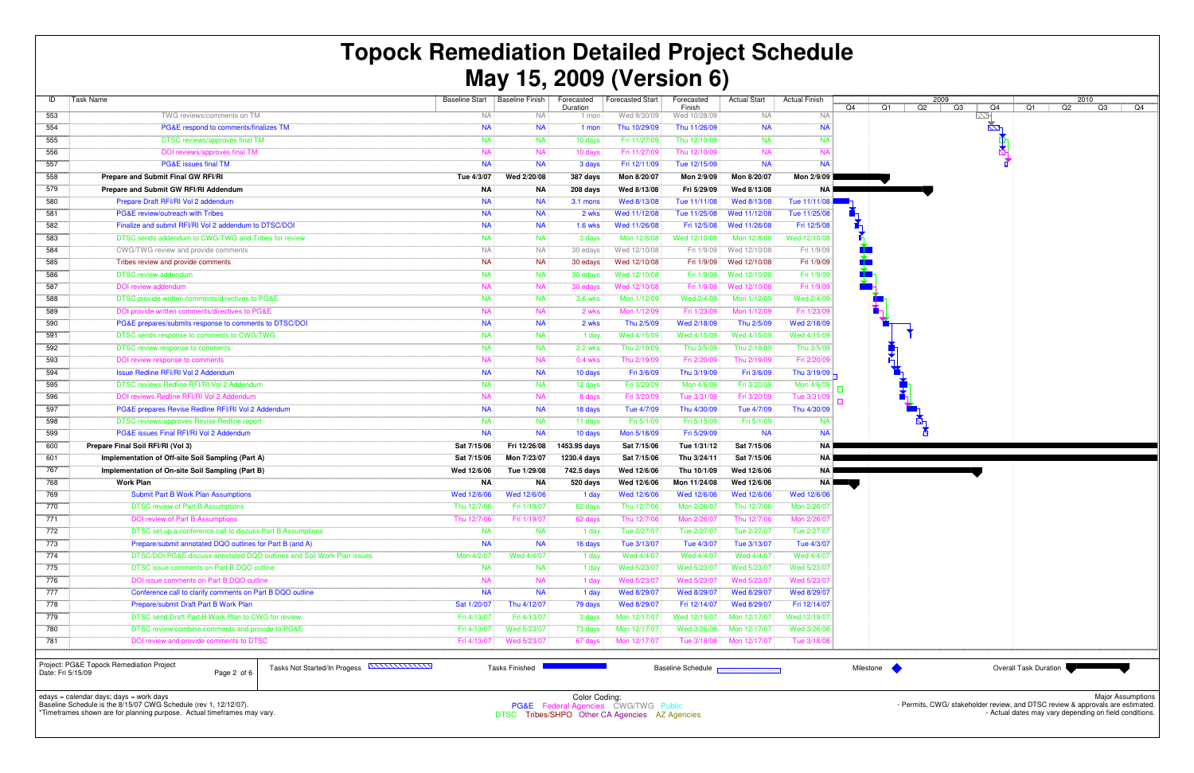| ID               | Task Name                                                              | <b>Baseline Start</b> | <b>Baseline Finish</b> | Forecasted<br>Duration | <b>Forecasted Start</b> | Forecasted<br>Finish | <b>Actual Start</b> | <b>Actual Finish</b> | Q4 |
|------------------|------------------------------------------------------------------------|-----------------------|------------------------|------------------------|-------------------------|----------------------|---------------------|----------------------|----|
| 553              | TWG reviews/comments on TM                                             | <b>NA</b>             | <b>NA</b>              | 1 mon                  | Wed 9/30/09             | Wed 10/28/09         | <b>NA</b>           | <b>NA</b>            |    |
| 554              | PG&E respond to comments/finalizes TM                                  | <b>NA</b>             | <b>NA</b>              | 1 mon                  | Thu 10/29/09            |                      | <b>NA</b>           | <b>NA</b>            |    |
| 555              | DTSC reviews/approves final TM                                         | <b>NA</b>             | <b>NA</b>              | 10 days                | Fri 11/27/09            | Thu 12/10/09         | <b>NA</b>           | <b>NA</b>            |    |
| 556              | DOI reviews/approves final TM                                          | <b>NA</b>             | <b>NA</b>              | 10 days                | Fri 11/27/09            | Thu 12/10/09         | <b>NA</b>           | <b>NA</b>            |    |
| 557              | <b>PG&amp;E</b> issues final TM                                        | <b>NA</b>             | <b>NA</b>              | 3 days                 | Fri 12/11/09            | Tue 12/15/09         | <b>NA</b>           | <b>NA</b>            |    |
| 558              | Prepare and Submit Final GW RFI/RI                                     | Tue 4/3/07            | Wed 2/20/08            | 387 days               | Mon 8/20/07             | Mon 2/9/09           | Mon 8/20/07         | Mon 2/9/09           |    |
| 579              | Prepare and Submit GW RFI/RI Addendum                                  | ΝA                    | ΝA                     | 208 days               | Wed 8/13/08             | Fri 5/29/09          | Wed 8/13/08         | <b>NA</b>            |    |
| 580              | Prepare Draft RFI/RI Vol 2 addendum                                    | <b>NA</b>             | <b>NA</b>              | 3.1 mons               | Wed 8/13/08             | Tue 11/11/08         | Wed 8/13/08         | Tue 11/11/08         |    |
| 581              | PG&E review/outreach with Tribes                                       | <b>NA</b>             | <b>NA</b>              | 2 wks                  | Wed 11/12/08            | Tue 11/25/08         | Wed 11/12/08        | Tue 11/25/08         |    |
| 582              | Finalize and submit RFI/RI Vol 2 addendum to DTSC/DOI                  | <b>NA</b>             | <b>NA</b>              | <b>1.6 wks</b>         | Wed 11/26/08            | Fri 12/5/08          | Wed 11/26/08        | Fri 12/5/08          |    |
| 583              | DTSC sends addendum to CWG/TWG and Tribes for review                   | <b>NA</b>             | <b>NA</b>              | 3 days                 | Mon 12/8/08             | Wed 12/10/08         | Mon 12/8/08         | Wed 12/10/08         |    |
| 584              | CWG/TWG review and provide comments                                    | <b>NA</b>             | <b>NA</b>              | 30 edays               | Wed 12/10/08            | Fri 1/9/09           | Wed 12/10/08        | Fri 1/9/09           |    |
| 585              | Tribes review and provide comments                                     | <b>NA</b>             | <b>NA</b>              | 30 edays               | Wed 12/10/08            | Fri 1/9/09           | Wed 12/10/08        | Fri 1/9/09           |    |
| 586              | <b>DTSC review addendum</b>                                            | <b>NA</b>             | <b>NA</b>              | 30 edays               | Wed 12/10/08            | Fri 1/9/09           | Wed 12/10/08        | Fri 1/9/09           |    |
| 587              | DOI review addendum                                                    | <b>NA</b>             | <b>NA</b>              | 30 edays               | Wed 12/10/08            | Fri 1/9/09           | Wed 12/10/08        | Fri 1/9/09           |    |
| 588              | DTSC provide written comments/directives to PG&E                       | <b>NA</b>             | <b>NA</b>              | <b>3.6 wks</b>         | Mon 1/12/09             | Wed 2/4/09           | Mon 1/12/09         | Wed 2/4/09           |    |
| 589              | DOI provide written comments/directives to PG&E                        | <b>NA</b>             | <b>NA</b>              | 2 wks                  | Mon 1/12/09             | Fri 1/23/09          | Mon 1/12/09         | Fri 1/23/09          |    |
| 590              | PG&E prepares/submits response to comments to DTSC/DOI                 | <b>NA</b>             | <b>NA</b>              | 2 wks                  | Thu 2/5/09              | Wed 2/18/09          | Thu 2/5/09          | Wed 2/18/09          |    |
| 591              | DTSC sends response to comments to CWG/TWG                             | <b>NA</b>             | <b>NA</b>              | 1 day                  | Wed 4/15/09             | Wed 4/15/09          | Wed 4/15/09         | Wed 4/15/09          |    |
| 592              | DTSC review response to comments                                       | <b>NA</b>             | <b>NA</b>              | <b>2.2 wks</b>         | Thu 2/19/09             | Thu 3/5/09           | Thu 2/19/09         | Thu 3/5/09           |    |
| 593              | DOI review response to comments                                        | <b>NA</b>             | <b>NA</b>              | $0.4$ wks              | Thu 2/19/09             | Fri 2/20/09          | Thu 2/19/09         | Fri 2/20/09          |    |
| 594              | <b>Issue Redline RFI/RI Vol 2 Addendum</b>                             | <b>NA</b>             | <b>NA</b>              | 10 days                | Fri 3/6/09              | Thu 3/19/09          | Fri 3/6/09          | Thu 3/19/09          |    |
| 595              | DTSC reviews Redline RFI/RI Vol 2 Addendum                             | <b>NA</b>             | <b>NA</b>              | 12 days                | Fri 3/20/09             | Mon 4/6/09           | Fri 3/20/09         | Mon 4/6/09           | 鳳  |
| 596              | DOI reviews Redline RFI/RI Vol 2 Addendum                              | <b>NA</b>             | <b>NA</b>              | 8 days                 | Fri 3/20/09             | Tue 3/31/09          | Fri 3/20/09         | Tue 3/31/09          |    |
| 597              | PG&E prepares Revise Redline RFI/RI Vol 2 Addendum                     | <b>NA</b>             | <b>NA</b>              | 18 days                | Tue 4/7/09              | Thu 4/30/09          | Tue 4/7/09          | Thu 4/30/09          |    |
| 598              | DTSC reviews/approves Revise Redline report                            | <b>NA</b>             | <b>NA</b>              | 11 days                | Fri 5/1/09              | Fri 5/15/09          | Fri 5/1/09          | <b>NA</b>            |    |
| 599              | PG&E issues Final RFI/RI Vol 2 Addendum                                | <b>NA</b>             | <b>NA</b>              | 10 days                | Mon 5/18/09             | Fri 5/29/09          | <b>NA</b>           | <b>NA</b>            |    |
| 600              | Prepare Final Soil RFI/RI (Vol 3)                                      | Sat 7/15/06           | Fri 12/26/08           | 1453.95 days           | Sat 7/15/06             | Tue 1/31/12          | Sat 7/15/06         | <b>NA</b>            |    |
| 601              | Implementation of Off-site Soil Sampling (Part A)                      | Sat 7/15/06           | Mon 7/23/07            | 1230.4 days            | Sat 7/15/06             | Thu 3/24/11          | Sat 7/15/06         | <b>NA</b>            |    |
| 767              | Implementation of On-site Soil Sampling (Part B)                       | Wed 12/6/06           | Tue 1/29/08            | 742.5 days             | Wed 12/6/06             | Thu 10/1/09          | Wed 12/6/06         | ΝA                   |    |
| 768              | <b>Work Plan</b>                                                       | ΝA                    | ΝA                     | 520 days               | Wed 12/6/06             | Mon 11/24/08         | Wed 12/6/06         | ΝA                   |    |
| 769              | <b>Submit Part B Work Plan Assumptions</b>                             | Wed 12/6/06           | Wed 12/6/06            | 1 day                  | Wed 12/6/06             | Wed 12/6/06          | Wed 12/6/06         | Wed 12/6/06          |    |
| 770              | <b>DTSC review of Part B Assumptions</b>                               | Thu 12/7/06           | Fri 1/19/07            | 62 days                | Thu 12/7/06             | Mon 2/26/07          | Thu 12/7/06         | Mon 2/26/07          |    |
| 771              | DOI review of Part B Assumptions                                       | Thu 12/7/06           | Fri 1/19/07            | 62 days                | Thu 12/7/06             | Mon 2/26/07          | Thu 12/7/06         | Mon 2/26/07          |    |
| 1/2              | DTSC set up a conference call to discuss Part B Assumptions            | <b>NA</b>             | <b>NA</b>              | 1 day                  | Tue 2/27/07             | Tue 2/27/07          | Tue 2/27/07         | Tue 2/27/07          |    |
| 773              | Prepare/submit annotated DQO outlines for Part B (and A)               | <b>NA</b>             | <b>NA</b>              | 16 days                | Tue 3/13/07             | Tue 4/3/07           | Tue 3/13/07         | Tue 4/3/07           |    |
| 774              | DTSC/DOI/PG&E discuss annotated DQO outlines and Soil Work Plan issues | Mon 4/2/07            | Wed 4/4/07             | 1 day                  | Wed 4/4/07              | Wed 4/4/07           | Wed 4/4/07          | Wed 4/4/07           |    |
| 775              | DTSC issue comments on Part B DQO outline                              | <b>NA</b>             | <b>NA</b>              | 1 day                  | Wed 5/23/07             | Wed 5/23/07          | Wed 5/23/07         | Wed 5/23/07          |    |
| 776              | DOI issue comments on Part B DQO outline                               | <b>NA</b>             | <b>NA</b>              | 1 day                  | Wed 5/23/07             | Wed 5/23/07          | Wed 5/23/07         | Wed 5/23/07          |    |
| $\overline{777}$ | Conference call to clarify comments on Part B DQO outline              | <b>NA</b>             | <b>NA</b>              | 1 day                  | Wed 8/29/07             | Wed 8/29/07          | Wed 8/29/07         | Wed 8/29/07          |    |
| 778              | Prepare/submit Draft Part B Work Plan                                  | Sat 1/20/07           | Thu 4/12/07            | 79 days                | Wed 8/29/07             | Fri 12/14/07         | Wed 8/29/07         | Fri 12/14/07         |    |
| 779              | DTSC send Draft Part B Work Plan to CWG for review                     | Fri 4/13/07           | Fri 4/13/07            | 3 days                 | Mon 12/17/07            | Wed 12/19/07         | Mon 12/17/07        | Wed 12/19/07         |    |
| 780              | DTSC review/combine comments and provide to PG&E                       | Fri 4/13/07           | Wed 5/23/07            | 73 days                | Mon 12/17/07            | Wed 3/26/08          | Mon 12/17/07        | Wed 3/26/08          |    |
| 781              | DOI review and provide comments to DTSC                                | Fri 4/13/07           | Wed 5/23/07            | 67 days                | Mon 12/17/07            | Tue 3/18/08          | Mon 12/17/07        | Tue 3/18/08          |    |
|                  |                                                                        |                       |                        |                        |                         |                      |                     |                      |    |

edays = calendar days; days = work days Baseline Schedule is the 8/15/07 CWG Schedule (rev 1, 12/12/07).



\*Timeframes shown are for planning purpose. Actual timeframes may vary.

Color Coding:<br>PG&E Federal Agencies CWG/TWG Public<br>C. Tribes/SUPO Other CA Agencies AZ Age

DTSC Tribes/SHPO Other CA Agencies AZ Agencies

Project: PG&E Topock Remediation ProjectDate: Fri 5/15/09

Page 2 of 6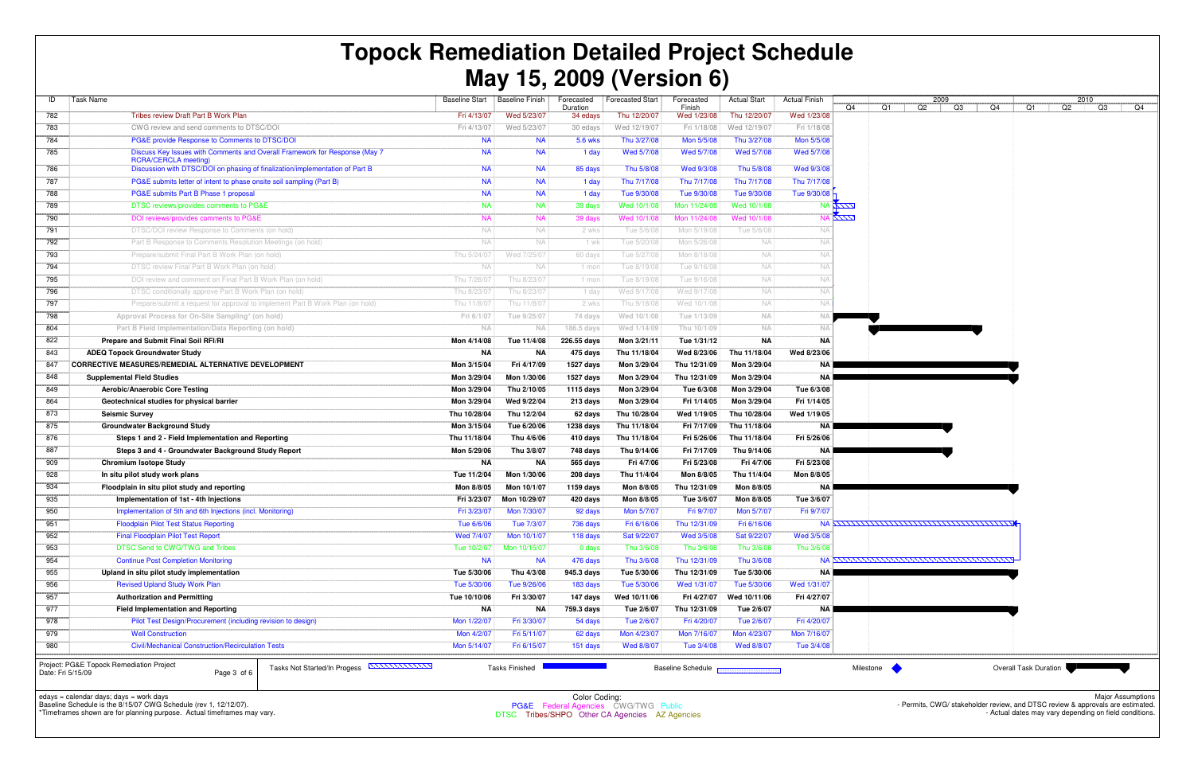Color Coding:<br>PG&E Federal Agencies CWG/TWG Public<br>C. Tribes/SUPO Other CA Agencies AZ Age DTSC Tribes/SHPO Other CA Agencies AZ Agencies

| ID                | Task Name                                                                                                 | <b>Baseline Start</b> | <b>Baseline Finish</b> | Forecasted<br>Duration | <b>Forecasted Start</b> | Forecasted<br>Finish                     | <b>Actual Start</b> | <b>Actual Finish</b> | Q4               | Q1               | 2009<br>Q2                                      | Q3 | Q4 | Q1                           |
|-------------------|-----------------------------------------------------------------------------------------------------------|-----------------------|------------------------|------------------------|-------------------------|------------------------------------------|---------------------|----------------------|------------------|------------------|-------------------------------------------------|----|----|------------------------------|
| 782               | Tribes review Draft Part B Work Plan                                                                      | Fri 4/13/07           | Wed 5/23/07            | 34 edays               | Thu 12/20/07            | Wed 1/23/08                              | Thu 12/20/07        | Wed 1/23/08          |                  |                  |                                                 |    |    |                              |
| 783               | CWG review and send comments to DTSC/DOI                                                                  | Fri 4/13/07           | Wed 5/23/07            | 30 edays               | Wed 12/19/07            | Fri 1/18/08                              | Wed 12/19/07        | Fri 1/18/08          |                  |                  |                                                 |    |    |                              |
| 784               | PG&E provide Response to Comments to DTSC/DOI                                                             | <b>NA</b>             | <b>NA</b>              | 5.6 wks                | Thu 3/27/08             | Mon 5/5/08                               | Thu 3/27/08         | Mon 5/5/08           |                  |                  |                                                 |    |    |                              |
| 785               | Discuss Key Issues with Comments and Overall Framework for Response (May 7<br><b>RCRA/CERCLA meeting)</b> | <b>NA</b>             | <b>NA</b>              | 1 day                  | Wed 5/7/08              | Wed 5/7/08                               | Wed 5/7/08          | Wed 5/7/08           |                  |                  |                                                 |    |    |                              |
| 786               | Discussion with DTSC/DOI on phasing of finalization/implementation of Part B                              | <b>NA</b>             | <b>NA</b>              | 85 days                | Thu 5/8/08              | Wed 9/3/08                               | Thu 5/8/08          | Wed 9/3/08           |                  |                  |                                                 |    |    |                              |
| 787               | PG&E submits letter of intent to phase onsite soil sampling (Part B)                                      | <b>NA</b>             | <b>NA</b>              | 1 day                  | Thu 7/17/08             | Thu 7/17/08                              | Thu 7/17/08         | Thu 7/17/08          |                  |                  |                                                 |    |    |                              |
| 788               | PG&E submits Part B Phase 1 proposal                                                                      | <b>NA</b>             | <b>NA</b>              | 1 day                  | Tue 9/30/08             | Tue 9/30/08                              | Tue 9/30/08         | Tue 9/30/08          |                  |                  |                                                 |    |    |                              |
| 789               | DTSC reviews/provides comments to PG&E                                                                    | <b>NA</b>             | <b>NA</b>              | 39 days                | Wed 10/1/08             | Mon 11/24/08                             | Wed 10/1/08         |                      | NA ALIV          |                  |                                                 |    |    |                              |
| 790               | DOI reviews/provides comments to PG&E                                                                     | <b>NA</b>             | <b>NA</b>              | 39 days                | Wed 10/1/08             | Mon 11/24/08                             | Wed 10/1/08         |                      | <b>NA ASSESS</b> |                  |                                                 |    |    |                              |
| 791               | DTSC/DOI review Response to Comments (on hold)                                                            | NA                    | NA.                    | 2 wks                  | Tue 5/6/08              | Mon 5/19/08                              | Tue 5/6/08          | <b>NA</b>            |                  |                  |                                                 |    |    |                              |
| 792               | Part B Response to Comments Resolution Meetings (on hold)                                                 | <b>NA</b>             | NA.                    | 1 wk                   | Tue 5/20/08             | Mon 5/26/08                              | NA.                 | <b>NA</b>            |                  |                  |                                                 |    |    |                              |
| 793               | Prepare/submit Final Part B Work Plan (on hold)                                                           | Thu 5/24/07           | Wed 7/25/07            | 60 days                | Tue 5/27/08             | Mon 8/18/08                              | <b>NA</b>           | <b>NA</b>            |                  |                  |                                                 |    |    |                              |
| 794               | DTSC review Final Part B Work Plan (on hold)                                                              | <b>NA</b>             | NA.                    | 1 mon                  | Tue 8/19/08             | Tue 9/16/08                              | NA.                 | <b>NA</b>            |                  |                  |                                                 |    |    |                              |
| 795               | DOI review and comment on Final Part B Work Plan (on hold)                                                | Thu 7/26/0            | Thu 8/23/07            | 1 mon                  | Tue 8/19/08             | Tue 9/16/08                              | <b>NA</b>           | <b>NA</b>            |                  |                  |                                                 |    |    |                              |
| 796               | DTSC conditionally approve Part B Work Plan (on hold)                                                     | Thu 8/23/0            | Thu 8/23/07            | 1 day                  | Wed 9/17/08             | Wed 9/17/08                              | <b>NA</b>           | <b>NA</b>            |                  |                  |                                                 |    |    |                              |
| 797               | Prepare/submit a request for approval to implement Part B Work Plan (on hold)                             | Thu 11/8/07           | Thu 11/8/07            | 2 wks                  | Thu 9/18/08             | Wed 10/1/08                              | <b>NA</b>           | NA                   |                  |                  |                                                 |    |    |                              |
| 798               | Approval Process for On-Site Sampling* (on hold)                                                          | Fri 6/1/07            | Tue 9/25/07            | 74 days                | Wed 10/1/08             | Tue 1/13/09                              | <b>NA</b>           | -Na                  |                  |                  |                                                 |    |    |                              |
| 804               | Part B Field Implementation/Data Reporting (on hold)                                                      | <b>NA</b>             | <b>NA</b>              | 186.5 days             | Wed 1/14/09             | Thu 10/1/09                              | <b>NA</b>           | <b>NA</b>            |                  |                  |                                                 |    |    |                              |
| 822               | Prepare and Submit Final Soil RFI/RI                                                                      | Mon 4/14/08           | Tue 11/4/08            | 226.55 days            | Mon 3/21/11             | Tue 1/31/12                              | NA                  | NA                   |                  |                  |                                                 |    |    |                              |
| 843               | <b>ADEQ Topock Groundwater Study</b>                                                                      | ΝA                    | NA                     | 475 days               | Thu 11/18/04            | Wed 8/23/06                              | Thu 11/18/04        | Wed 8/23/06          |                  |                  |                                                 |    |    |                              |
| 847               | CORRECTIVE MEASURES/REMEDIAL ALTERNATIVE DEVELOPMENT                                                      | Mon 3/15/04           | Fri 4/17/09            | 1527 days              | Mon 3/29/04             | Thu 12/31/09                             | Mon 3/29/04         | NA                   |                  |                  |                                                 |    |    |                              |
| 848               | <b>Supplemental Field Studies</b>                                                                         | Mon 3/29/04           | Mon 1/30/06            | 1527 days              | Mon 3/29/04             | Thu 12/31/09                             | Mon 3/29/04         | <b>NA</b>            |                  |                  |                                                 |    |    |                              |
| 849               | Aerobic/Anaerobic Core Testing                                                                            | Mon 3/29/04           | Thu 2/10/05            | $1115$ days            | Mon 3/29/04             | Tue 6/3/08                               | Mon 3/29/04         | Tue 6/3/08           |                  |                  |                                                 |    |    |                              |
| 864               | Geotechnical studies for physical barrier                                                                 | Mon 3/29/04           | Wed 9/22/04            | 213 days               | Mon 3/29/04             | Fri 1/14/05                              | Mon 3/29/04         | Fri 1/14/05          |                  |                  |                                                 |    |    |                              |
| 873               | <b>Seismic Survey</b>                                                                                     | Thu 10/28/04          | Thu 12/2/04            | 62 days                | Thu 10/28/04            | Wed 1/19/05                              | Thu 10/28/04        | Wed 1/19/05          |                  |                  |                                                 |    |    |                              |
| 875               | <b>Groundwater Background Study</b>                                                                       | Mon 3/15/04           | Tue 6/20/06            | 1238 days              | Thu 11/18/04            | Fri 7/17/09                              | Thu 11/18/04        | <b>NA</b>            |                  |                  |                                                 |    |    |                              |
| 876               | Steps 1 and 2 - Field Implementation and Reporting                                                        | Thu 11/18/04          | Thu 4/6/06             | 410 days               | Thu 11/18/04            | Fri 5/26/06                              | Thu 11/18/04        | Fri 5/26/06          |                  |                  |                                                 |    |    |                              |
| 887               | Steps 3 and 4 - Groundwater Background Study Report                                                       | Mon 5/29/06           | Thu 3/8/07             | 748 days               | Thu 9/14/06             | Fri 7/17/09                              | Thu 9/14/06         | <b>NA</b>            |                  |                  |                                                 |    |    |                              |
| 909               | <b>Chromium Isotope Study</b>                                                                             | <b>NA</b>             | ΝA                     | 565 days               | Fri 4/7/06              | Fri 5/23/08                              | Fri 4/7/06          | Fri 5/23/08          |                  |                  |                                                 |    |    |                              |
| 928               | In situ pilot study work plans                                                                            | Tue 11/2/04           | Mon 1/30/06            | 208 days               | Thu 11/4/04             | Mon 8/8/05                               | Thu 11/4/04         | Mon 8/8/05           |                  |                  |                                                 |    |    |                              |
| 934               | Floodplain in situ pilot study and reporting                                                              | Mon 8/8/05            | Mon 10/1/07            | $1159$ days            | Mon 8/8/05              | Thu 12/31/09                             | Mon 8/8/05          | <b>NA</b>            |                  |                  |                                                 |    |    |                              |
| 935               | Implementation of 1st - 4th Injections                                                                    | Fri 3/23/07           | Mon 10/29/07           | 420 days               | Mon 8/8/05              | Tue 3/6/07                               | Mon 8/8/05          | Tue 3/6/07           |                  |                  |                                                 |    |    |                              |
| 950               | Implementation of 5th and 6th Injections (incl. Monitoring)                                               | Fri 3/23/07           | Mon 7/30/07            | 92 days                | Mon 5/7/07              | Fri 9/7/07                               | Mon 5/7/07          | Fri 9/7/07           |                  |                  |                                                 |    |    |                              |
| 951               | <b>Floodplain Pilot Test Status Reporting</b>                                                             | Tue 6/6/06            | Tue 7/3/07             | 736 days               | Fri 6/16/06             | Thu 12/31/09                             | Fri 6/16/06         |                      |                  |                  |                                                 |    |    |                              |
| 952               | <b>Final Floodplain Pilot Test Report</b>                                                                 | Wed 7/4/07            | Mon 10/1/07            | 118 days               | Sat 9/22/07             | Wed 3/5/08                               | Sat 9/22/07         | Wed 3/5/08           |                  |                  |                                                 |    |    |                              |
| 953               | DTSC Send to CWG/TWG and Tribes                                                                           | Tue 10/2/07           | Mon 10/15/07           | 0 days                 | Thu 3/6/08              | Thu 3/6/08                               | Thu 3/6/08          | Thu 3/6/08           |                  |                  |                                                 |    |    |                              |
| 954               | <b>Continue Post Completion Monitoring</b>                                                                | <b>NA</b>             | <b>NA</b>              | 476 days               | Thu 3/6/08              | Thu 12/31/09                             | Thu 3/6/08          |                      |                  |                  | <u>МА ДАГАГАГАГАГАГАГАГАГАГАГАГАГАГАГАГАГАГ</u> |    |    |                              |
| 955               | Upland in situ pilot study implementation                                                                 | Tue 5/30/06           | Thu 4/3/08             | 945.3 days             | Tue 5/30/06             | Thu 12/31/09                             | Tue 5/30/06         | <b>NA</b>            |                  |                  |                                                 |    |    |                              |
| 956               | <b>Revised Upland Study Work Plan</b>                                                                     | Tue 5/30/06           | Tue 9/26/06            | 183 days               | Tue 5/30/06             | Wed 1/31/07                              | Tue 5/30/06         | Wed 1/31/07          |                  |                  |                                                 |    |    |                              |
| 957               | <b>Authorization and Permitting</b>                                                                       | Tue 10/10/06          | Fri 3/30/07            | 147 days               | Wed 10/11/06            | Fri 4/27/07                              | Wed 10/11/06        | Fri 4/27/07          |                  |                  |                                                 |    |    |                              |
| 977               | <b>Field Implementation and Reporting</b>                                                                 | ΝA                    | ΝA                     | 759.3 days             | Tue 2/6/07              | Thu 12/31/09                             | Tue 2/6/07          | NA I                 |                  |                  |                                                 |    |    |                              |
| 978               | Pilot Test Design/Procurement (including revision to design)                                              | Mon 1/22/07           | Fri 3/30/07            | 54 days                | Tue 2/6/07              | Fri 4/20/07                              | Tue 2/6/07          | Fri 4/20/07          |                  |                  |                                                 |    |    |                              |
| 979               | <b>Well Construction</b>                                                                                  | Mon 4/2/07            | Fri 5/11/07            | 62 days                | Mon 4/23/07             | Mon 7/16/07                              | Mon 4/23/07         | Mon 7/16/07          |                  |                  |                                                 |    |    |                              |
| 980               | <b>Civil/Mechanical Construction/Recirculation Tests</b>                                                  | Mon 5/14/07           | Fri 6/15/07            | 151 days               | Wed 8/8/07              | Tue 3/4/08                               | Wed 8/8/07          | Tue 3/4/08           |                  |                  |                                                 |    |    |                              |
|                   |                                                                                                           |                       |                        |                        |                         |                                          |                     |                      |                  |                  |                                                 |    |    |                              |
| Date: Fri 5/15/09 | Project: PG&E Topock Remediation Project<br>Tasks Not Started/In Progess ANNUNUM<br>Page 3 of 6           |                       | <b>Tasks Finished</b>  |                        |                         | Baseline Schedule <b>Representations</b> |                     |                      |                  | <b>Milestone</b> |                                                 |    |    | <b>Overall Task Duration</b> |

## **Topock Remediation Detailed Project ScheduleMay 15, 2009 (Version 6)**

edays = calendar days; days = work days Baseline Schedule is the 8/15/07 CWG Schedule (rev 1, 12/12/07). \*Timeframes shown are for planning purpose. Actual timeframes may vary.

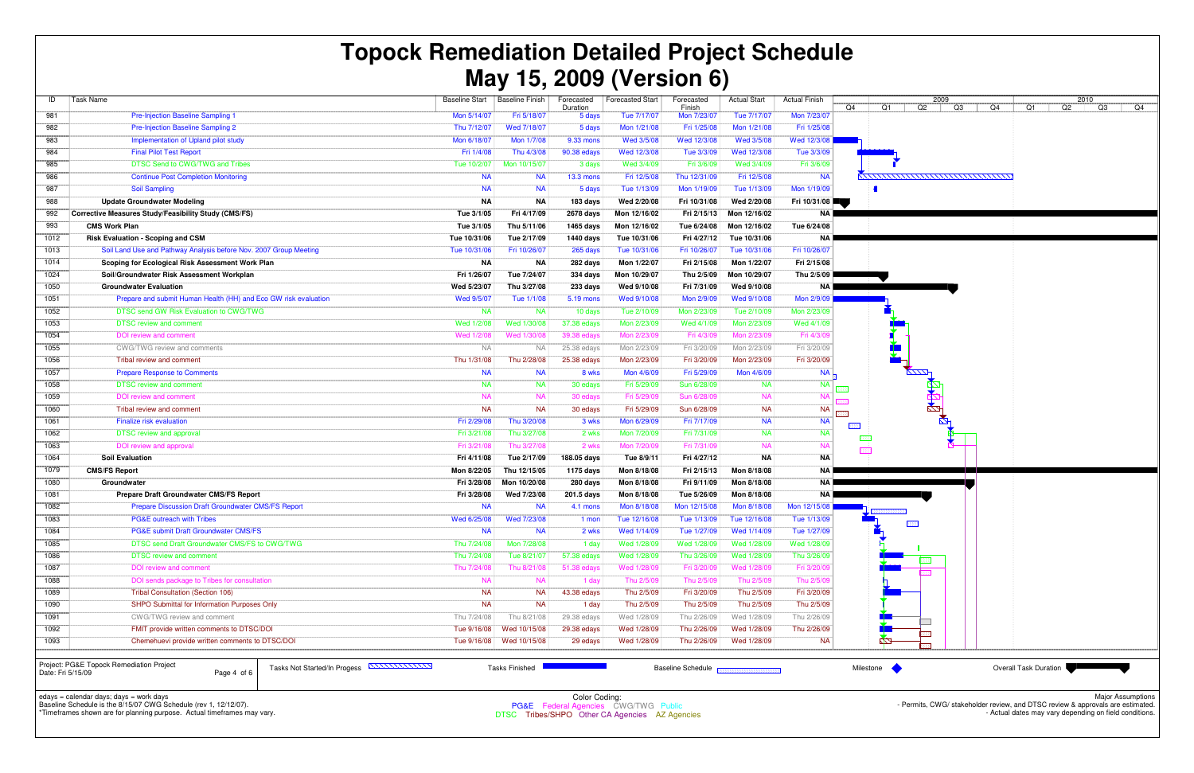| ID   | Task Name                                                         | <b>Baseline Start</b> | <b>Baseline Finish</b> | Forecasted<br>Duration | <b>Forecasted Start</b> | Forecasted<br>Finish | <b>Actual Start</b> | <b>Actual Finish</b> | Q4            |
|------|-------------------------------------------------------------------|-----------------------|------------------------|------------------------|-------------------------|----------------------|---------------------|----------------------|---------------|
| 981  | <b>Pre-Injection Baseline Sampling 1</b>                          | Mon 5/14/07           | Fri 5/18/07            | 5 days                 | Tue 7/17/07             | Mon 7/23/07          | Tue 7/17/07         | Mon 7/23/07          |               |
| 982  | Pre-Injection Baseline Sampling 2                                 | Thu 7/12/07           | Wed 7/18/07            | 5 days                 | Mon 1/21/08             | Fri 1/25/08          | Mon 1/21/08         | Fri 1/25/08          |               |
| 983  | Implementation of Upland pilot study                              |                       | Mon 1/7/08             | 9.33 mons              | Wed 3/5/08              | Wed 12/3/08          | Wed 3/5/08          | Wed 12/3/08          |               |
| 984  | <b>Final Pilot Test Report</b>                                    | Fri 1/4/08            | Thu 4/3/08             | 90.38 edays            | Wed 12/3/08             | Tue 3/3/09           | Wed 12/3/08         | Tue 3/3/09           |               |
| 985  | <b>DTSC Send to CWG/TWG and Tribes</b>                            | Tue 10/2/07           | Mon 10/15/07           | 3 days                 | Wed 3/4/09              | Fri 3/6/09           | Wed 3/4/09          | Fri 3/6/09           |               |
| 986  | <b>Continue Post Completion Monitoring</b>                        | <b>NA</b>             | <b>NA</b>              | <b>13.3 mons</b>       | Fri 12/5/08             | Thu 12/31/09         | Fri 12/5/08         | <b>NA</b>            | $\frac{1}{2}$ |
| 987  | <b>Soil Sampling</b>                                              | <b>NA</b>             | <b>NA</b>              | 5 days                 | Tue 1/13/09             | Mon 1/19/09          | Tue 1/13/09         | Mon 1/19/09          |               |
| 988  | <b>Update Groundwater Modeling</b>                                | ΝA                    | <b>NA</b>              | 183 days               | Wed 2/20/08             | Fri 10/31/08         | Wed 2/20/08         | Fri 10/31/08         |               |
| 992  | Corrective Measures Study/Feasibility Study (CMS/FS)              | Tue 3/1/05            | Fri 4/17/09            | 2678 days              | Mon 12/16/02            | Fri 2/15/13          | Mon 12/16/02        | NA                   |               |
| 993  | <b>CMS Work Plan</b>                                              | Tue 3/1/05            | Thu 5/11/06            | 1465 days              | Mon 12/16/02            | Tue 6/24/08          | Mon 12/16/02        | Tue 6/24/08          |               |
| 1012 | <b>Risk Evaluation - Scoping and CSM</b>                          | Tue 10/31/06          | Tue 2/17/09            | 1440 days              | Tue 10/31/06            | Fri 4/27/12          | Tue 10/31/06        | NA                   |               |
| 1013 | Soil Land Use and Pathway Analysis before Nov. 2007 Group Meeting | Tue 10/31/06          | Fri 10/26/07           | 265 days               | Tue 10/31/06            | Fri 10/26/07         | Tue 10/31/06        | Fri 10/26/07         |               |
| 1014 | Scoping for Ecological Risk Assessment Work Plan                  | ΝA                    | <b>NA</b>              | 282 days               | Mon 1/22/07             | Fri 2/15/08          | Mon 1/22/07         | Fri 2/15/08          |               |
| 1024 | Soil/Groundwater Risk Assessment Workplan                         | Fri 1/26/07           | Tue 7/24/07            | 334 days               | Mon 10/29/07            | Thu 2/5/09           | Mon 10/29/07        | Thu 2/5/09           |               |
| 1050 | <b>Groundwater Evaluation</b>                                     | Wed 5/23/07           | Thu 3/27/08            | 233 days               | Wed 9/10/08             | Fri 7/31/09          | Wed 9/10/08         | <b>NA</b>            |               |
| 1051 | Prepare and submit Human Health (HH) and Eco GW risk evaluation   | Wed 9/5/07            | Tue 1/1/08             | 5.19 mons              | Wed 9/10/08             | Mon 2/9/09           | Wed 9/10/08         | Mon 2/9/09           |               |
| 1052 | <b>DTSC send GW Risk Evaluation to CWG/TWG</b>                    | <b>NA</b>             | <b>NA</b>              | 10 days                | Tue 2/10/09             | Mon 2/23/09          | Tue 2/10/09         | Mon 2/23/09          |               |
| 1053 | <b>DTSC review and comment</b>                                    | Wed 1/2/08            | Wed 1/30/08            | 37.38 edays            | Mon 2/23/09             | Wed 4/1/09           | Mon 2/23/09         | Wed 4/1/09           |               |
| 1054 | DOI review and comment                                            | Wed 1/2/08            | Wed 1/30/08            | 39.38 edays            | Mon 2/23/09             | Fri 4/3/09           | Mon 2/23/09         | Fri 4/3/09           |               |
| 1055 | CWG/TWG review and comments                                       | <b>NA</b>             | <b>NA</b>              | 25.38 edays            | Mon 2/23/09             | Fri 3/20/09          | Mon 2/23/09         | Fri 3/20/09          |               |
| 1056 | Tribal review and comment                                         | Thu 1/31/08           | Thu 2/28/08            | 25.38 edays            | Mon 2/23/09             | Fri 3/20/09          | Mon 2/23/09         | Fri 3/20/09          |               |
| 1057 | <b>Prepare Response to Comments</b>                               | <b>NA</b>             | <b>NA</b>              | 8 wks                  | Mon 4/6/09              | Fri 5/29/09          | Mon 4/6/09          | <b>NA</b>            |               |
| 1058 | <b>DTSC</b> review and comment                                    | <b>NA</b>             | <b>NA</b>              | 30 edays               | Fri 5/29/09             | Sun 6/28/09          | <b>NA</b>           | <b>NA</b>            | 666           |
| 1059 | DOI review and comment                                            | <b>NA</b>             | <b>NA</b>              | 30 edays               | Fri 5/29/09             | Sun 6/28/09          | <b>NA</b>           | <b>NA</b>            |               |
| 1060 | Tribal review and comment                                         | <b>NA</b>             | <b>NA</b>              | 30 edays               | Fri 5/29/09             | Sun 6/28/09          | <b>NA</b>           | <b>NA</b>            | <u> 444</u>   |
| 1061 | Finalize risk evaluation                                          | Fri 2/29/08           | Thu 3/20/08            | 3 wks                  | Mon 6/29/09             | Fri 7/17/09          | <b>NA</b>           | <b>NA</b>            | 99            |
| 1062 | <b>DTSC</b> review and approval                                   | Fri 3/21/08           | Thu 3/27/08            | 2 wks                  | Mon 7/20/09             | Fri 7/31/09          | <b>NA</b>           | <b>NA</b>            |               |
| 1063 | DOI review and approval                                           | Fri 3/21/08           | Thu 3/27/08            | 2 wks                  | Mon 7/20/09             | Fri 7/31/09          | <b>NA</b>           | <b>NA</b>            | <b>BEER</b>   |
| 1064 | <b>Soil Evaluation</b>                                            | Fri 4/11/08           | Tue 2/17/09            | 188.05 days            | Tue 8/9/11              | Fri 4/27/12          | <b>NA</b>           | ΝA                   |               |
| 1079 | <b>CMS/FS Report</b>                                              | Mon 8/22/05           | Thu 12/15/05           | 1175 days              | Mon 8/18/08             | Fri 2/15/13          | Mon 8/18/08         | ΝA                   |               |
| 1080 | Groundwater                                                       | Fri 3/28/08           | Mon 10/20/08           | 280 days               | Mon 8/18/08             | Fri 9/11/09          | Mon 8/18/08         | NA                   |               |
| 1081 | Prepare Draft Groundwater CMS/FS Report                           | Fri 3/28/08           | Wed 7/23/08            | 201.5 days             | Mon 8/18/08             | Tue 5/26/09          | Mon 8/18/08         | <b>NA</b>            |               |
| 1082 | Prepare Discussion Draft Groundwater CMS/FS Report                | <b>NA</b>             | <b>NA</b>              | 4.1 mons               | Mon 8/18/08             | Mon 12/15/08         | Mon 8/18/08         | Mon 12/15/08         |               |
| 1083 | <b>PG&amp;E outreach with Tribes</b>                              | Wed 6/25/08           | Wed 7/23/08            | 1 mon                  | Tue 12/16/08            | Tue 1/13/09          | Tue 12/16/08        | Tue 1/13/09          |               |
| 1084 | <b>PG&amp;E submit Draft Groundwater CMS/FS</b>                   | <b>NA</b>             | <b>NA</b>              | 2 wks                  | Wed 1/14/09             | Tue 1/27/09          | Wed 1/14/09         | Tue 1/27/09          |               |
| 1085 | DTSC send Draft Groundwater CMS/FS to CWG/TWG                     | Thu 7/24/08           | Mon 7/28/08            | 1 day                  | Wed 1/28/09             | Wed 1/28/09          | Wed 1/28/09         | Wed 1/28/09          |               |
| 1086 | <b>DTSC review and comment</b>                                    | Thu 7/24/08           | Tue 8/21/07            | 57.38 edays            | Wed 1/28/09             | Thu 3/26/09          | Wed 1/28/09         | Thu 3/26/09          |               |
| 1087 | DOI review and comment                                            | Thu 7/24/08           | Thu 8/21/08            | 51.38 edays            | Wed 1/28/09             | Fri 3/20/09          | Wed 1/28/09         | Fri 3/20/09          |               |
| 1088 | DOI sends package to Tribes for consultation                      | <b>NA</b>             | <b>NA</b>              | 1 day                  | Thu 2/5/09              | Thu 2/5/09           | Thu 2/5/09          | Thu 2/5/09           |               |
| 1089 | <b>Tribal Consultation (Section 106)</b>                          | <b>NA</b>             | <b>NA</b>              | 43.38 edays            | Thu 2/5/09              | Fri 3/20/09          | Thu 2/5/09          | Fri 3/20/09          |               |
| 1090 | SHPO Submittal for Information Purposes Only                      | <b>NA</b>             | <b>NA</b>              | 1 day                  | Thu 2/5/09              | Thu 2/5/09           | Thu 2/5/09          | Thu 2/5/09           |               |
| 1091 | CWG/TWG review and comment                                        | Thu 7/24/08           | Thu 8/21/08            | 29.38 edays            | Wed 1/28/09             | Thu 2/26/09          | Wed 1/28/09         | Thu 2/26/09          |               |
| 1092 | FMIT provide written comments to DTSC/DOI                         | Tue 9/16/08           | Wed 10/15/08           | 29.38 edays            | Wed 1/28/09             | Thu 2/26/09          | Wed 1/28/09         | Thu 2/26/09          |               |
| 1093 | Chemehuevi provide written comments to DTSC/DOI                   | Tue 9/16/08           | Wed 10/15/08           | 29 edays               | Wed 1/28/09             | Thu 2/26/09          | Wed 1/28/09         | <b>NA</b>            |               |
|      |                                                                   |                       |                        |                        |                         |                      |                     |                      |               |
|      |                                                                   |                       |                        |                        |                         |                      |                     |                      |               |

edays = calendar days; days = work days Baseline Schedule is the 8/15/07 CWG Schedule (rev 1, 12/12/07).



\*Timeframes shown are for planning purpose. Actual timeframes may vary.



DTSC Tribes/SHPO Other CA Agencies AZ Agencies

Project: PG&E Topock Remediation ProjectDate: Fri 5/15/09

Page 4 of 6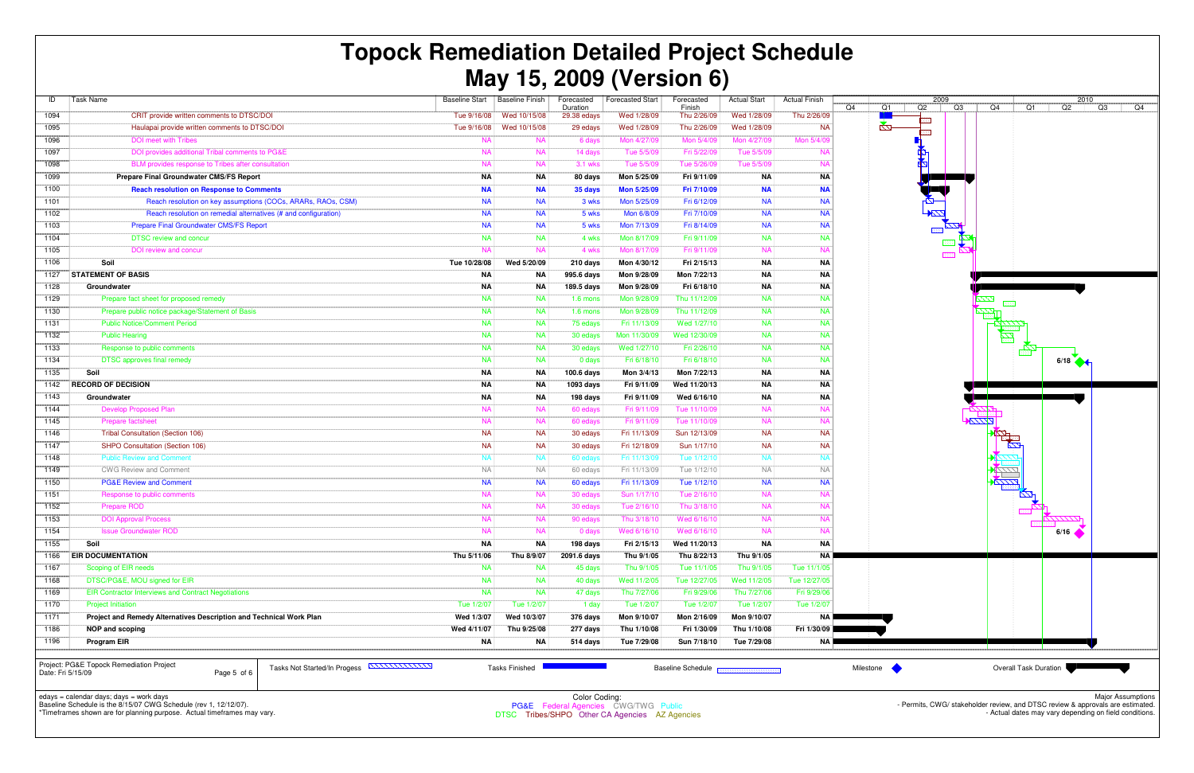| ID           | Task Name                                                           | <b>Baseline Start</b> | <b>Baseline Finish</b> | Forecasted<br>Duration | <b>Forecasted Start</b> | Forecasted<br>Finish | <b>Actual Start</b> | <b>Actual Finish</b> |
|--------------|---------------------------------------------------------------------|-----------------------|------------------------|------------------------|-------------------------|----------------------|---------------------|----------------------|
| 1094         | CRIT provide written comments to DTSC/DOI                           | Tue 9/16/08           | Wed 10/15/08           | 29.38 edays            | Wed 1/28/09             | Thu 2/26/09          | Wed 1/28/09         | Thu 2/26/09          |
| 1095         | Haulapai provide written comments to DTSC/DOI                       | Tue 9/16/08           | Wed 10/15/08           | 29 edays               | Wed 1/28/09             | Thu 2/26/09          | Wed 1/28/09         | <b>NA</b>            |
| 1096         | <b>DOI</b> meet with Tribes                                         | <b>NA</b>             | <b>NA</b>              | 6 days                 | Mon 4/27/09             | Mon 5/4/09           | Mon 4/27/09         | Mon 5/4/09           |
| 1097         | DOI provides additional Tribal comments to PG&E                     | <b>NA</b>             | <b>NA</b>              | 14 days                | Tue 5/5/09              | Fri 5/22/09          | Tue 5/5/09          | <b>NA</b>            |
| 1098         | BLM provides response to Tribes after consultation                  | <b>NA</b>             | <b>NA</b>              | 3.1 wks                | Tue 5/5/09              | Tue 5/26/09          | Tue 5/5/09          | <b>NA</b>            |
| 1099         | Prepare Final Groundwater CMS/FS Report                             | <b>NA</b>             | ΝA                     | 80 days                | Mon 5/25/09             | Fri 9/11/09          | <b>NA</b>           | ΝA                   |
| 1100         | <b>Reach resolution on Response to Comments</b>                     | <b>NA</b>             | <b>NA</b>              | 35 days                | Mon 5/25/09             | Fri 7/10/09          | <b>NA</b>           | <b>NA</b>            |
| 1101         | Reach resolution on key assumptions (COCs, ARARs, RAOs, CSM)        | <b>NA</b>             | <b>NA</b>              | 3 wks                  | Mon 5/25/09             | Fri 6/12/09          | <b>NA</b>           | <b>NA</b>            |
| 1102         | Reach resolution on remedial alternatives (# and configuration)     | <b>NA</b>             | <b>NA</b>              | 5 wks                  | Mon 6/8/09              | Fri 7/10/09          | <b>NA</b>           | <b>NA</b>            |
| 1103         | <b>Prepare Final Groundwater CMS/FS Report</b>                      | <b>NA</b>             | <b>NA</b>              | 5 wks                  | Mon 7/13/09             | Fri 8/14/09          | <b>NA</b>           | <b>NA</b>            |
| 1104         | <b>DTSC review and concur</b>                                       | <b>NA</b>             | <b>NA</b>              | 4 wks                  | Mon 8/17/09             | Fri 9/11/09          | <b>NA</b>           | <b>NA</b>            |
| 1105         | <b>DOI</b> review and concur                                        | <b>NA</b>             | <b>NA</b>              | 4 wks                  | Mon 8/17/09             | Fri 9/11/09          | <b>NA</b>           | <b>NA</b>            |
| 1106         | Soil                                                                | Tue 10/28/08          | Wed 5/20/09            | 210 days               | Mon 4/30/12             | Fri 2/15/13          | <b>NA</b>           | <b>NA</b>            |
| 1127         | <b>STATEMENT OF BASIS</b>                                           | <b>NA</b>             | <b>NA</b>              | 995.6 days             | Mon 9/28/09             | Mon 7/22/13          | <b>NA</b>           | <b>NA</b>            |
| 1128         | Groundwater                                                         | <b>NA</b>             | ΝA                     | 189.5 days             | Mon 9/28/09             | Fri 6/18/10          | <b>NA</b>           | <b>NA</b>            |
| 1129         | Prepare fact sheet for proposed remedy                              | <b>NA</b>             | <b>NA</b>              | $1.6$ mons             | Mon 9/28/09             | Thu 11/12/09         | <b>NA</b>           | <b>NA</b>            |
| 1130         | Prepare public notice package/Statement of Basis                    | <b>NA</b>             | <b>NA</b>              | $1.6$ mons             | Mon 9/28/09             | Thu 11/12/09         | <b>NA</b>           | <b>NA</b>            |
| 1131         | <b>Public Notice/Comment Period</b>                                 | <b>NA</b>             | <b>NA</b>              | 75 edays               | Fri 11/13/09            | Wed 1/27/10          | <b>NA</b>           | <b>NA</b>            |
| 1132         | <b>Public Hearing</b>                                               | <b>NA</b>             | <b>NA</b>              | 30 edays               | Mon 11/30/09            | Wed 12/30/09         | <b>NA</b>           | <b>NA</b>            |
| 1133         | Response to public comments                                         | <b>NA</b>             | <b>NA</b>              | 30 edays               | Wed 1/27/10             | Fri 2/26/10          | <b>NA</b>           | <b>NA</b>            |
| 1134         | <b>DTSC</b> approves final remedy                                   | <b>NA</b>             | <b>NA</b>              | 0 days                 | Fri 6/18/10             | Fri 6/18/10          | <b>NA</b>           | <b>NA</b>            |
| 1135         | Soil                                                                | <b>NA</b>             | ΝA                     | 100.6 days             | Mon 3/4/13              | Mon 7/22/13          | <b>NA</b>           | ΝA                   |
| 1142         | <b>RECORD OF DECISION</b>                                           | <b>NA</b>             | NA                     | 1093 days              | Fri 9/11/09             | Wed 11/20/13         | <b>NA</b>           | ΝA                   |
| 1143         | Groundwater                                                         | <b>NA</b>             | ΝA                     | 198 days               | Fri 9/11/09             | Wed 6/16/10          | <b>NA</b>           | ΝA                   |
| 1144         | <b>Develop Proposed Plan</b>                                        | <b>NA</b>             | <b>NA</b>              | 60 edays               | Fri 9/11/09             | Tue 11/10/09         | <b>NA</b>           | <b>NA</b>            |
| 1145         | <b>Prepare factsheet</b>                                            | <b>NA</b>             | <b>NA</b>              | 60 edays               | Fri 9/11/09             | Tue 11/10/09         | <b>NA</b>           | <b>NA</b>            |
| 1146         | <b>Tribal Consultation (Section 106)</b>                            | <b>NA</b>             | <b>NA</b>              | 30 edays               | Fri 11/13/09            | Sun 12/13/09         | <b>NA</b>           | <b>NA</b>            |
| 1147         | SHPO Consultation (Section 106)                                     | <b>NA</b>             | <b>NA</b>              | 30 edays               | Fri 12/18/09            | Sun 1/17/10          | <b>NA</b>           | <b>NA</b>            |
| 1148         | <b>Public Review and Comment</b>                                    | <b>NA</b>             | <b>NA</b>              | 60 edays               | Fri 11/13/09            | Tue 1/12/10          | <b>NA</b>           | <b>NA</b>            |
| 1149         | <b>CWG Review and Comment</b>                                       | <b>NA</b>             | NA                     | 60 edays               | Fri 11/13/09            | Tue 1/12/10          | <b>NA</b>           | <b>NA</b>            |
| 1150         | <b>PG&amp;E Review and Comment</b>                                  | <b>NA</b>             | <b>NA</b>              | 60 edays               | Fri 11/13/09            | Tue 1/12/10          | <b>NA</b>           | <b>NA</b>            |
| 1151         | Response to public comments                                         | <b>NA</b>             | <b>NA</b>              | 30 edays               | Sun 1/17/10             | Tue 2/16/10          | <b>NA</b>           | <b>NA</b>            |
| 1152         | Prepare ROD                                                         | <b>NA</b>             | <b>NA</b>              | 30 edays               | Tue 2/16/10             | Thu 3/18/10          | <b>NA</b>           | <b>NA</b>            |
| 1153         | <b>DOI Approval Process</b>                                         | <b>NA</b>             | <b>NA</b>              | 90 edays               | Thu 3/18/10             | Wed 6/16/10          | <b>NA</b>           | <b>NA</b>            |
| 1154         | <b>Issue Groundwater ROD</b>                                        | <b>NA</b>             | NA.                    | 0 days                 | Wed 6/16/10             | Wed 6/16/10          | <b>NA</b>           | <b>NA</b>            |
| 1155         | Soil                                                                | <b>NA</b>             | ΝA                     | 198 days               | Fri 2/15/13             | Wed 11/20/13         | ΝA                  | ΝA                   |
| 1166         | <b>EIR DOCUMENTATION</b>                                            | Thu 5/11/06           | Thu 8/9/07             | 2091.6 days            | Thu 9/1/05              | Thu 8/22/13          | Thu 9/1/05          | <b>NA</b>            |
| 1167         | Scoping of EIR needs                                                | <b>NA</b>             | <b>NA</b>              | 45 days                | Thu 9/1/05              | Tue 11/1/05          | Thu 9/1/05          | Tue 11/1/05          |
| 1168         | DTSC/PG&E, MOU signed for EIR                                       | <b>NA</b>             | <b>NA</b>              | 40 days                | Wed 11/2/05             | Tue 12/27/05         | Wed 11/2/05         | Tue 12/27/05         |
| 1169         | <b>EIR Contractor Interviews and Contract Negotiations</b>          | <b>NA</b>             | <b>NA</b>              | 47 days                | Thu 7/27/06             | Fri 9/29/06          | Thu 7/27/06         | Fri 9/29/06          |
| 1170         | <b>Project Initiation</b>                                           | Tue 1/2/07            | Tue 1/2/07             | 1 day                  | Tue 1/2/07              | Tue 1/2/07           | Tue 1/2/07          | Tue 1/2/07           |
|              | Project and Remedy Alternatives Description and Technical Work Plan | Wed 1/3/07            | Wed 10/3/07            | 376 days               | Mon 9/10/07             | Mon 2/16/09          | Mon 9/10/07         | <b>NA</b>            |
|              |                                                                     | Wed 4/11/07           | Thu 9/25/08            | 277 days               | Thu 1/10/08             | Fri 1/30/09          | Thu 1/10/08         | Fri 1/30/09          |
| 1171         |                                                                     |                       |                        |                        |                         |                      |                     |                      |
| 1186<br>1196 | <b>NOP and scoping</b><br>Program EIR                               | ΝA                    | NA                     | 514 days               | Tue 7/29/08             | Sun 7/18/10          | Tue 7/29/08         | <b>NA</b>            |

edays = calendar days; days = work days Baseline Schedule is the 8/15/07 CWG Schedule (rev 1, 12/12/07).



\*Timeframes shown are for planning purpose. Actual timeframes may vary.

Page 5 of 6